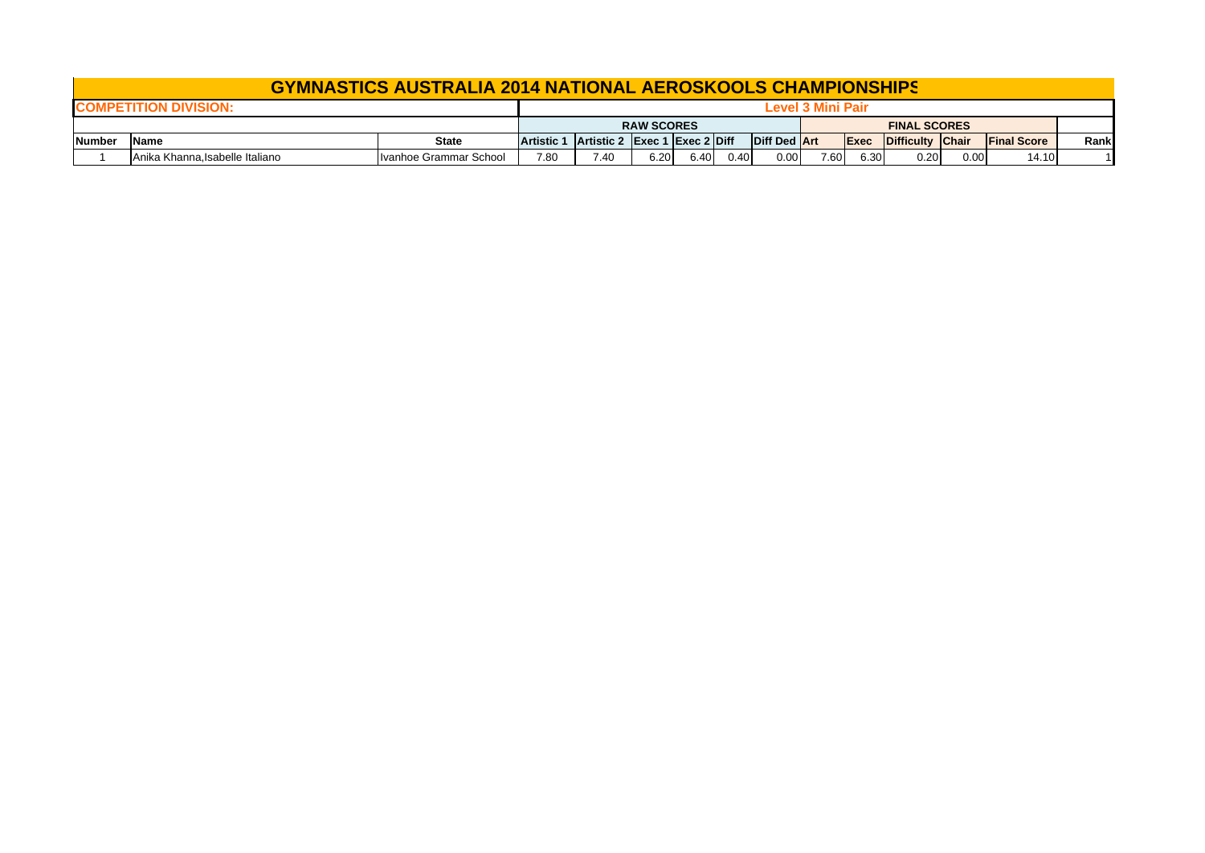|               | <b>GYMNASTICS AUSTRALIA 2014 NATIONAL AEROSKOOLS CHAMPIONSHIPS</b> |              |                                                                                              |      |                                          |      |      |      |      |                     |      |       |  |  |  |
|---------------|--------------------------------------------------------------------|--------------|----------------------------------------------------------------------------------------------|------|------------------------------------------|------|------|------|------|---------------------|------|-------|--|--|--|
|               | <b>ICOMPETITION DIVISION:</b>                                      |              | <b>Level 3 Mini Pair</b>                                                                     |      |                                          |      |      |      |      |                     |      |       |  |  |  |
|               |                                                                    |              |                                                                                              |      | <b>RAW SCORES</b><br><b>FINAL SCORES</b> |      |      |      |      |                     |      |       |  |  |  |
| <b>Number</b> | Name                                                               | <b>State</b> | Diff Ded Art<br>Artistic 1 Artistic 2 Exec 1 Exec 2 Diff<br>Difficulty Chair<br><b>IExec</b> |      |                                          |      |      |      |      | <b>IFinal Score</b> | Rank |       |  |  |  |
|               | IAnika Khanna.Isabelle Italiano                                    | 7.80         | 7.40                                                                                         | 6.20 | 6.40                                     | 0.40 | 0.00 | 7.60 | 6.30 | 0.20                | 0.00 | 14.10 |  |  |  |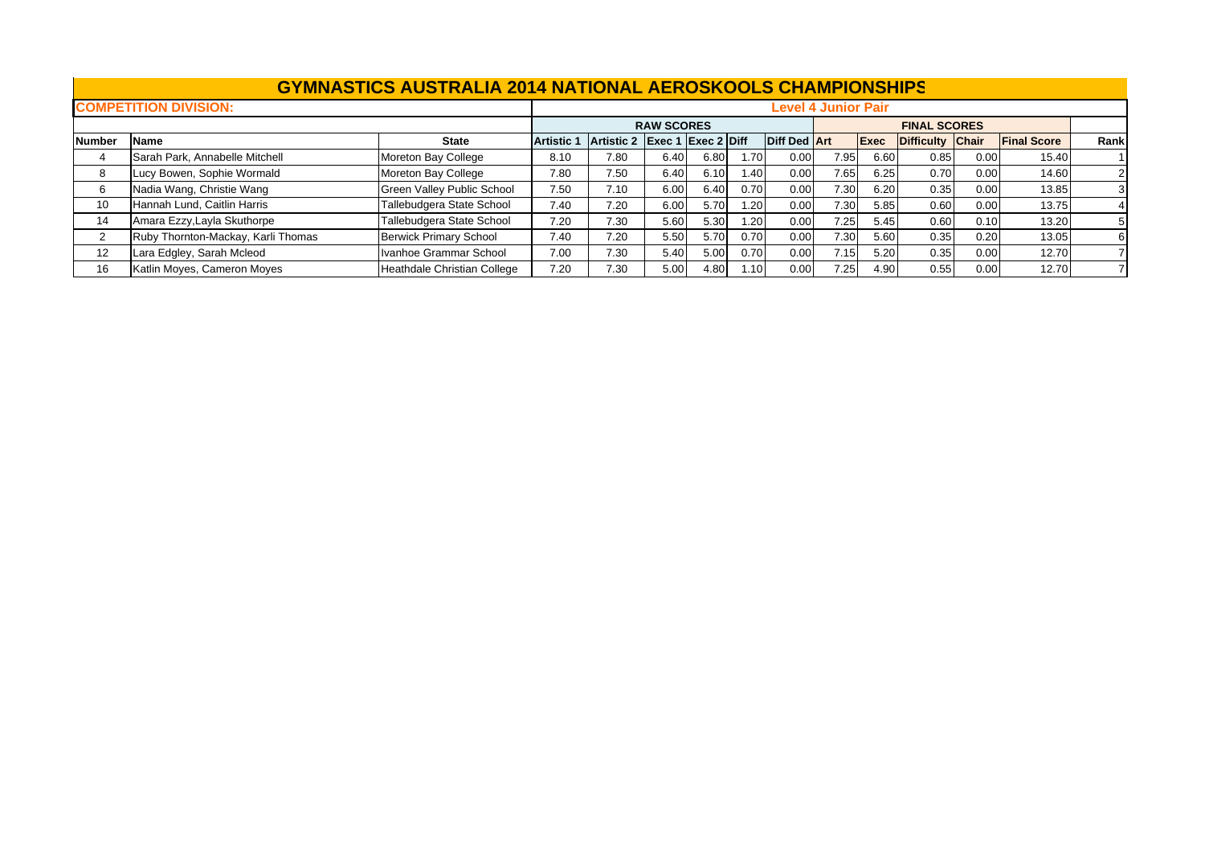|               | <b>GYMNASTICS AUSTRALIA 2014 NATIONAL AEROSKOOLS CHAMPIONSHIPS</b> |                             |                            |                                          |                                      |      |       |                     |      |      |                  |      |                    |      |  |
|---------------|--------------------------------------------------------------------|-----------------------------|----------------------------|------------------------------------------|--------------------------------------|------|-------|---------------------|------|------|------------------|------|--------------------|------|--|
|               | <b>COMPETITION DIVISION:</b>                                       |                             | <b>Level 4 Junior Pair</b> |                                          |                                      |      |       |                     |      |      |                  |      |                    |      |  |
|               |                                                                    |                             |                            | <b>RAW SCORES</b><br><b>FINAL SCORES</b> |                                      |      |       |                     |      |      |                  |      |                    |      |  |
| <b>Number</b> | <b>Name</b>                                                        | <b>State</b>                | <b>Artistic 1</b>          | Artistic 2                               | $\left $ Exec 1 $\left $ Exec 2 Diff |      |       | <b>Diff Ded Art</b> |      | Exec | Difficulty Chair |      | <b>Final Score</b> | Rank |  |
| 4             | Sarah Park, Annabelle Mitchell                                     | Moreton Bay College         | 8.10                       | 7.80                                     | 6.40                                 | 6.80 | 1.70  | 0.00                | 7.95 | 6.60 | 0.85             | 0.00 | 15.40              |      |  |
| 8             | Lucy Bowen, Sophie Wormald                                         | Moreton Bay College         | 7.80                       | 7.50                                     | 6.40                                 | 6.10 | 1.40  | 0.00                | 7.65 | 6.25 | 0.70             | 0.00 | 14.60              |      |  |
| 6             | Nadia Wang, Christie Wang                                          | Green Valley Public School  | 7.50                       | 7.10                                     | 6.00                                 | 6.40 | 0.70  | 0.00                | 7.30 | 6.20 | 0.35             | 0.00 | 13.85              |      |  |
| 10            | Hannah Lund, Caitlin Harris                                        | Tallebudgera State School   | 7.40                       | 7.20                                     | 6.00                                 | 5.70 | 1.20  | 0.00                | 7.30 | 5.85 | 0.60             | 0.00 | 13.75              |      |  |
| 14            | Amara Ezzy, Layla Skuthorpe                                        | Tallebudgera State School   | 7.20                       | 7.30                                     | 5.60                                 | 5.30 | 1.20  | 0.00                | 7.25 | 5.45 | 0.60             | 0.10 | 13.20              |      |  |
| 2             | Ruby Thornton-Mackay, Karli Thomas                                 | Berwick Primary School      | 7.40                       | 7.20                                     | 5.50                                 | 5.70 | 0.70  | 0.00                | 7.30 | 5.60 | 0.35             | 0.20 | 13.05              |      |  |
| 12            | Lara Edgley, Sarah Mcleod                                          | Ivanhoe Grammar School      | 7.00                       | 7.30                                     | 5.40                                 | 5.00 | 0.70  | 0.00                | 7.15 | 5.20 | 0.35             | 0.00 | 12.70              |      |  |
| 16            | Katlin Moyes, Cameron Moyes                                        | Heathdale Christian College | 7.20                       | 7.30                                     | 5.00                                 | 4.80 | 10۱.، | 0.00                | 7.25 | 4.90 | 0.55             | 0.00 | 12.70              |      |  |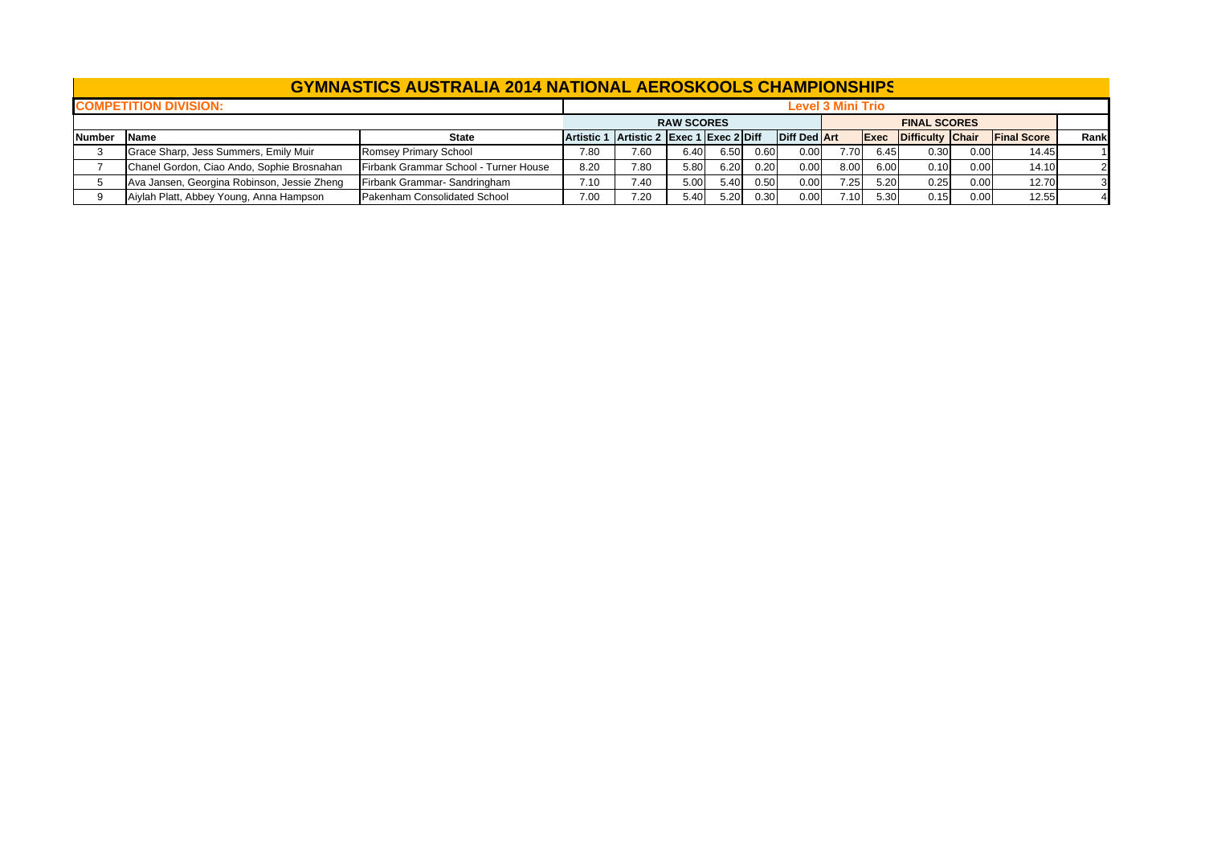|                              | <b>GYMNASTICS AUSTRALIA 2014 NATIONAL AEROSKOOLS CHAMPIONSHIPS</b> |                                       |                                          |                          |                                          |      |      |                     |      |      |                              |      |                    |                |  |  |
|------------------------------|--------------------------------------------------------------------|---------------------------------------|------------------------------------------|--------------------------|------------------------------------------|------|------|---------------------|------|------|------------------------------|------|--------------------|----------------|--|--|
| <b>COMPETITION DIVISION:</b> |                                                                    |                                       |                                          | <b>Level 3 Mini Trio</b> |                                          |      |      |                     |      |      |                              |      |                    |                |  |  |
|                              |                                                                    |                                       |                                          |                          | <b>FINAL SCORES</b><br><b>RAW SCORES</b> |      |      |                     |      |      |                              |      |                    |                |  |  |
| <b>Number</b>                | <b>Name</b>                                                        | State                                 | Artistic 1 Artistic 2 Exec 1 Exec 2 Diff |                          |                                          |      |      | <b>Diff Ded Art</b> |      |      | <b>Exec</b> Difficulty Chair |      | <b>Final Score</b> | Rankl          |  |  |
|                              | Grace Sharp, Jess Summers, Emily Muir                              | Romsey Primary School                 | 7.80                                     | 7.60                     | 6.40                                     | 6.50 | 0.60 | 0.00                | 7.70 | 6.45 | 0.30                         | 0.00 | 14.45              | 11             |  |  |
|                              | Chanel Gordon, Ciao Ando, Sophie Brosnahan                         | Firbank Grammar School - Turner House | 8.20                                     | 7.80                     | 5.80                                     | 6.20 | 0.20 | 0.00                | 8.00 | 6.00 | 0.10                         | 0.00 | 14.10              | 2 <sub>l</sub> |  |  |
|                              | Ava Jansen, Georgina Robinson, Jessie Zheng                        | Firbank Grammar- Sandringham          | 7.10                                     | 7.40                     | 5.00                                     | 5.40 | 0.50 | 0.00                | 7.25 | 5.20 | 0.25                         | 0.00 | 12.70              | 3 <sup>l</sup> |  |  |
|                              | Aiylah Platt, Abbey Young, Anna Hampson                            | Pakenham Consolidated School          | 7.00                                     | 7.20                     | 5.40                                     | 5.20 | 0.30 | 0.00                | 7.10 | 5.30 | 0.15                         | 0.00 | 12.55              | 4              |  |  |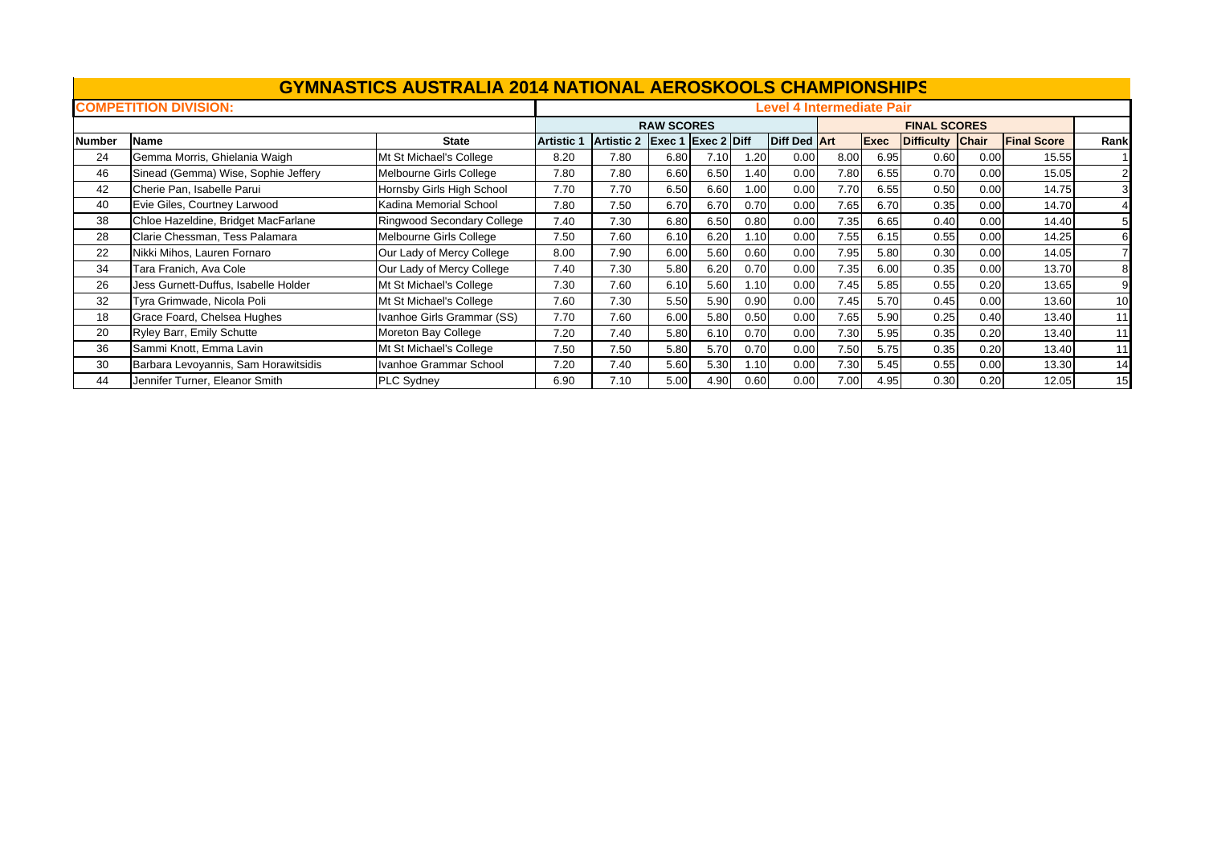|               | <b>GYMNASTICS AUSTRALIA 2014 NATIONAL AEROSKOOLS CHAMPIONSHIPS</b> |                            |                                  |                   |                    |      |      |              |      |             |                     |              |                    |      |  |
|---------------|--------------------------------------------------------------------|----------------------------|----------------------------------|-------------------|--------------------|------|------|--------------|------|-------------|---------------------|--------------|--------------------|------|--|
|               | <b>COMPETITION DIVISION:</b>                                       |                            | <b>Level 4 Intermediate Pair</b> |                   |                    |      |      |              |      |             |                     |              |                    |      |  |
|               |                                                                    |                            |                                  |                   | <b>RAW SCORES</b>  |      |      |              |      |             | <b>FINAL SCORES</b> |              |                    |      |  |
| <b>Number</b> | <b>Name</b>                                                        | <b>State</b>               | <b>Artistic 1</b>                | <b>Artistic 2</b> | Exec 1 Exec 2 Diff |      |      | Diff Ded Art |      | <b>Exec</b> | <b>Difficulty</b>   | <b>Chair</b> | <b>Final Score</b> | Rank |  |
| 24            | Gemma Morris, Ghielania Waigh                                      | Mt St Michael's College    | 8.20                             | 7.80              | 6.80               | 7.10 | 1.20 | 0.00         | 8.00 | 6.95        | 0.60                | 0.00         | 15.55              |      |  |
| 46            | Sinead (Gemma) Wise, Sophie Jeffery                                | Melbourne Girls College    | 7.80                             | 7.80              | 6.60               | 6.50 | 1.40 | 0.00         | 7.80 | 6.55        | 0.70                | 0.00         | 15.05              |      |  |
| 42            | Cherie Pan, Isabelle Parui                                         | Hornsby Girls High School  | 7.70                             | 7.70              | 6.50               | 6.60 | 1.00 | 0.00         | 7.70 | 6.55        | 0.50                | 0.00         | 14.75              |      |  |
| 40            | Evie Giles, Courtney Larwood                                       | Kadina Memorial School     | 7.80                             | 7.50              | 6.70               | 6.70 | 0.70 | 0.00         | 7.65 | 6.70        | 0.35                | 0.00         | 14.70              |      |  |
| 38            | Chloe Hazeldine, Bridget MacFarlane                                | Ringwood Secondary College | 7.40                             | 7.30              | 6.80               | 6.50 | 0.80 | 0.00         | 7.35 | 6.65        | 0.40                | 0.00         | 14.40              |      |  |
| 28            | Clarie Chessman, Tess Palamara                                     | Melbourne Girls College    | 7.50                             | 7.60              | 6.10               | 6.20 | 1.10 | 0.00         | 7.55 | 6.15        | 0.55                | 0.00         | 14.25              |      |  |
| 22            | Nikki Mihos, Lauren Fornaro                                        | Our Lady of Mercy College  | 8.00                             | 7.90              | 6.00               | 5.60 | 0.60 | 0.00         | 7.95 | 5.80        | 0.30                | 0.00         | 14.05              |      |  |
| 34            | Tara Franich, Ava Cole                                             | Our Lady of Mercy College  | 7.40                             | 7.30              | 5.80               | 6.20 | 0.70 | 0.00         | 7.35 | 6.00        | 0.35                | 0.00         | 13.70              | 81   |  |
| 26            | Jess Gurnett-Duffus, Isabelle Holder                               | Mt St Michael's College    | 7.30                             | 7.60              | 6.10               | 5.60 | 1.10 | 0.00         | 7.45 | 5.85        | 0.55                | 0.20         | 13.65              |      |  |
| 32            | Tyra Grimwade, Nicola Poli                                         | Mt St Michael's College    | 7.60                             | 7.30              | 5.50               | 5.90 | 0.90 | 0.00         | 7.45 | 5.70        | 0.45                | 0.00         | 13.60              | 10   |  |
| 18            | Grace Foard, Chelsea Hughes                                        | Ivanhoe Girls Grammar (SS) | 7.70                             | 7.60              | 6.00               | 5.80 | 0.50 | 0.00         | 7.65 | 5.90        | 0.25                | 0.40         | 13.40              | 11   |  |
| 20            | Ryley Barr, Emily Schutte                                          | Moreton Bay College        | 7.20                             | 7.40              | 5.80               | 6.10 | 0.70 | 0.00         | 7.30 | 5.95        | 0.35                | 0.20         | 13.40              | 11   |  |
| 36            | Sammi Knott, Emma Lavin                                            | Mt St Michael's College    | 7.50                             | 7.50              | 5.80               | 5.70 | 0.70 | 0.00         | 7.50 | 5.75        | 0.35                | 0.20         | 13.40              | 11   |  |
| 30            | Barbara Levoyannis, Sam Horawitsidis                               | Ivanhoe Grammar School     | 7.20                             | 7.40              | 5.60               | 5.30 | 1.10 | 0.00         | 7.30 | 5.45        | 0.55                | 0.00         | 13.30              | 14   |  |
| 44            | Jennifer Turner, Eleanor Smith                                     | <b>PLC Sydney</b>          | 6.90                             | 7.10              | 5.00               | 4.90 | 0.60 | 0.00         | 7.00 | 4.95        | 0.30                | 0.20         | 12.05              | 15   |  |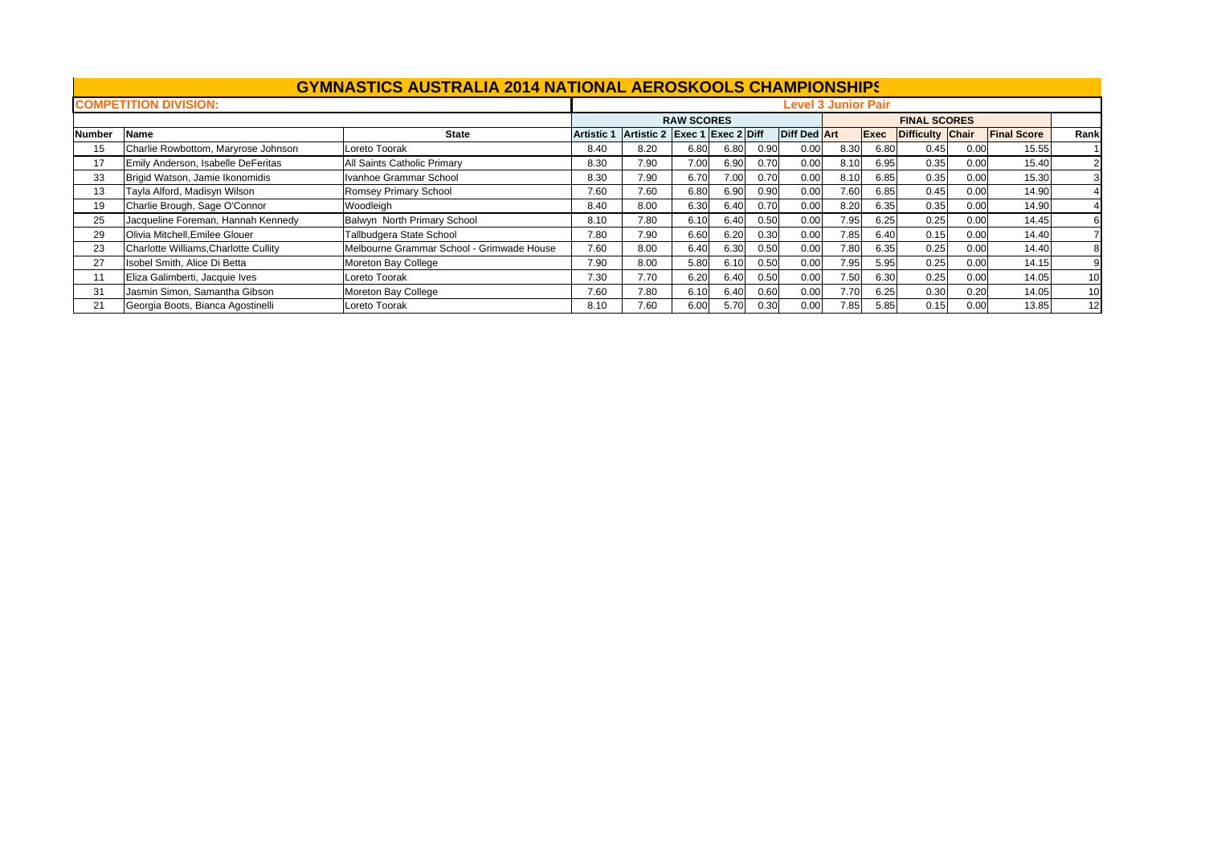|               | <b>GYMNASTICS AUSTRALIA 2014 NATIONAL AEROSKOOLS CHAMPIONSHIPS</b> |                                           |                            |                               |                   |      |      |                     |      |      |                     |      |                    |      |  |
|---------------|--------------------------------------------------------------------|-------------------------------------------|----------------------------|-------------------------------|-------------------|------|------|---------------------|------|------|---------------------|------|--------------------|------|--|
|               | <b>COMPETITION DIVISION:</b>                                       |                                           | <b>Level 3 Junior Pair</b> |                               |                   |      |      |                     |      |      |                     |      |                    |      |  |
|               |                                                                    |                                           |                            |                               | <b>RAW SCORES</b> |      |      |                     |      |      | <b>FINAL SCORES</b> |      |                    |      |  |
| <b>Number</b> | <b>Name</b>                                                        | <b>State</b>                              | <b>Artistic 1</b>          | Artistic 2 Exec 1 Exec 2 Diff |                   |      |      | <b>Diff Ded Art</b> |      | Exec | Difficulty Chair    |      | <b>Final Score</b> | Rank |  |
| 15            | Charlie Rowbottom, Maryrose Johnson                                | Loreto Toorak                             | 8.40                       | 8.20                          | 6.80              | 6.80 | 0.90 | 0.00                | 8.30 | 6.80 | 0.45                | 0.00 | 15.55              |      |  |
| 17            | Emily Anderson, Isabelle DeFeritas                                 | All Saints Catholic Primary               | 8.30                       | 7.90                          | 7.00              | 6.90 | 0.70 | 0.00                | 8.10 | 6.95 | 0.35                | 0.00 | 15.40              |      |  |
| 33            | Brigid Watson, Jamie Ikonomidis                                    | Ivanhoe Grammar School                    | 8.30                       | 7.90                          | 6.70              | 7.00 | 0.70 | 0.00                | 8.10 | 6.85 | 0.35                | 0.00 | 15.30              |      |  |
| 13            | Tayla Alford, Madisyn Wilson                                       | Romsey Primary School                     | 7.60                       | 7.60                          | 6.80              | 6.90 | 0.90 | 0.00                | 7.60 | 6.85 | 0.45                | 0.00 | 14.90              |      |  |
| 19            | Charlie Brough, Sage O'Connor                                      | Woodleigh                                 | 8.40                       | 8.00                          | 6.30              | 6.40 | 0.70 | 0.00                | 8.20 | 6.35 | 0.35                | 0.00 | 14.90              |      |  |
| 25            | Jacqueline Foreman, Hannah Kennedy                                 | Balwyn North Primary School               | 8.10                       | 7.80                          | 6.10              | 6.40 | 0.50 | 0.00                | 7.95 | 6.25 | 0.25                | 0.00 | 14.45              |      |  |
| 29            | Olivia Mitchell, Emilee Glouer                                     | Tallbudgera State School                  | 7.80                       | 7.90                          | 6.60              | 6.20 | 0.30 | 0.00                | 7.85 | 6.40 | 0.15                | 0.00 | 14.40              |      |  |
| 23            | Charlotte Williams, Charlotte Cullity                              | Melbourne Grammar School - Grimwade House | 7.60                       | 8.00                          | 6.40              | 6.30 | 0.50 | 0.00                | 7.80 | 6.35 | 0.25                | 0.00 | 14.40              |      |  |
| 27            | Isobel Smith, Alice Di Betta                                       | Moreton Bay College                       | 7.90                       | 8.00                          | 5.80              | 6.10 | 0.50 | 0.00                | 7.95 | 5.95 | 0.25                | 0.00 | 14.15              |      |  |
| 11            | Eliza Galimberti, Jacquie Ives                                     | Loreto Toorak                             | 7.30                       | 7.70                          | 6.20              | 6.40 | 0.50 | 0.00                | 7.50 | 6.30 | 0.25                | 0.00 | 14.05              | 10   |  |
| 31            | Jasmin Simon, Samantha Gibson                                      | Moreton Bay College                       | 7.60                       | 7.80                          | 6.10              | 6.40 | 0.60 | 0.00                | 7.70 | 6.25 | 0.30                | 0.20 | 14.05              | 10   |  |
| 21            | Georgia Boots, Bianca Agostinelli                                  | Loreto Toorak                             | 8.10                       | 7.60                          | 6.00              | 5.70 | 0.30 | 0.00                | 7.85 | 5.85 | 0.15                | 0.00 | 13.85              | 12   |  |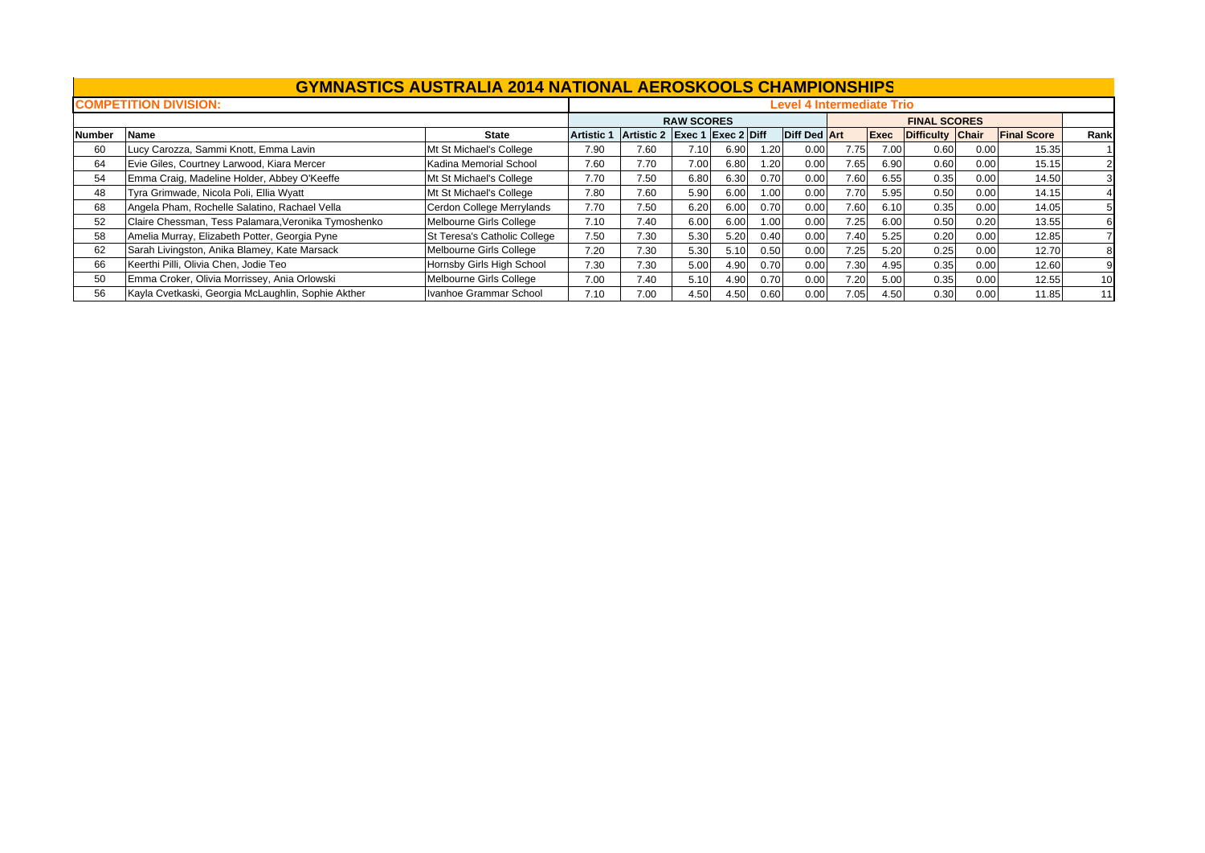|               | <b>GYMNASTICS AUSTRALIA 2014 NATIONAL AEROSKOOLS CHAMPIONSHIPS</b> |                              |                                  |                               |                   |      |      |                     |      |             |                  |      |                    |      |  |
|---------------|--------------------------------------------------------------------|------------------------------|----------------------------------|-------------------------------|-------------------|------|------|---------------------|------|-------------|------------------|------|--------------------|------|--|
|               | <b>COMPETITION DIVISION:</b>                                       |                              | <b>Level 4 Intermediate Trio</b> |                               |                   |      |      |                     |      |             |                  |      |                    |      |  |
|               |                                                                    |                              |                                  |                               | <b>RAW SCORES</b> |      |      |                     |      |             |                  |      |                    |      |  |
| <b>Number</b> | <b>Name</b>                                                        | <b>State</b>                 | <b>Artistic 1</b>                | Artistic 2 Exec 1 Exec 2 Diff |                   |      |      | <b>Diff Ded Art</b> |      | <b>Exec</b> | Difficulty Chair |      | <b>Final Score</b> | Rank |  |
| 60            | Lucy Carozza, Sammi Knott, Emma Lavin                              | Mt St Michael's College      | 7.90                             | 7.60                          | 7.10              | 6.90 | 1.20 | 0.00                | 7.75 | 7.00        | 0.60             | 0.00 | 15.35              |      |  |
| 64            | Evie Giles, Courtney Larwood, Kiara Mercer                         | Kadina Memorial School       | 7.60                             | 7.70                          | 7.00              | 6.80 | 1.20 | 0.00                | 7.65 | 6.90        | 0.60             | 0.00 | 15.15              |      |  |
| 54            | Emma Craig, Madeline Holder, Abbey O'Keeffe                        | Mt St Michael's College      | 7.70                             | 7.50                          | 6.80              | 6.30 | 0.70 | 0.00                | 7.60 | 6.55        | 0.35             | 0.00 | 14.50              |      |  |
| 48            | Tyra Grimwade, Nicola Poli, Ellia Wyatt                            | Mt St Michael's College      | 7.80                             | 7.60                          | 5.90              | 6.00 | 1.00 | 0.00                | 7.70 | 5.95        | 0.50             | 0.00 | 14.15              |      |  |
| 68            | Angela Pham, Rochelle Salatino, Rachael Vella                      | Cerdon College Merrylands    | 7.70                             | 7.50                          | 6.20              | 6.00 | 0.70 | 0.00                | 7.60 | 6.10        | 0.35             | 0.00 | 14.05              |      |  |
| 52            | Claire Chessman, Tess Palamara, Veronika Tymoshenko                | Melbourne Girls College      | 7.10                             | 7.40                          | 6.00              | 6.00 | 1.00 | 0.00                | 7.25 | 6.00        | 0.50             | 0.20 | 13.55              |      |  |
| 58            | Amelia Murray, Elizabeth Potter, Georgia Pyne                      | St Teresa's Catholic College | 7.50                             | 7.30                          | 5.30              | 5.20 | 0.40 | 0.00                | 7.40 | 5.25        | 0.20             | 0.00 | 12.85              |      |  |
| 62            | Sarah Livingston, Anika Blamey, Kate Marsack                       | Melbourne Girls College      | 7.20                             | 7.30                          | 5.30              | 5.10 | 0.50 | 0.00                | 7.25 | 5.20        | 0.25             | 0.00 | 12.70              |      |  |
| 66            | Keerthi Pilli, Olivia Chen, Jodie Teo                              | Hornsby Girls High School    | 7.30                             | 7.30                          | 5.00              | 4.90 | 0.70 | 0.00                | 7.30 | 4.95        | 0.35             | 0.00 | 12.60              |      |  |
| 50            | Emma Croker, Olivia Morrissey, Ania Orlowski                       | Melbourne Girls College      | 7.00                             | 7.40                          | 5.10              | 4.90 | 0.70 | 0.00                | 7.20 | 5.00        | 0.35             | 0.00 | 12.55              | 10   |  |
| 56            | Kayla Cvetkaski, Georgia McLaughlin, Sophie Akther                 | Ivanhoe Grammar School       | 7.10                             | 7.00                          | 4.50              | 4.50 | 0.60 | 0.00                | 7.05 | 4.50        | 0.30             | 0.00 | 11.85              | 11   |  |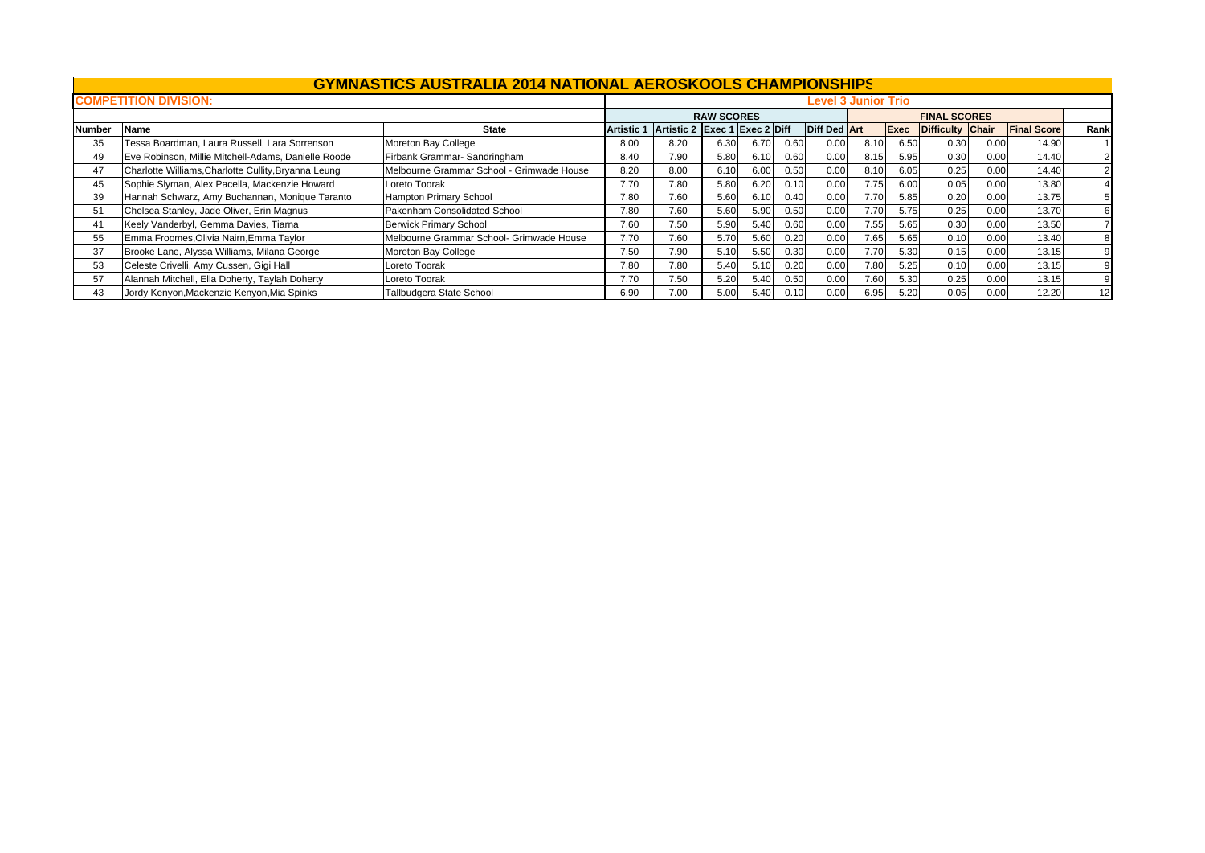## **GYMNASTICS AUSTRALIA 2014 NATIONAL AEROSKOOLS CHAMPIONSHIPS**

 $\Gamma$ 

|               | <b>COMPETITION DIVISION:</b>                         |                                           | <b>Level 3 Junior Trio</b> |                               |                   |      |      |                     |      |             |                     |      |                    |      |  |
|---------------|------------------------------------------------------|-------------------------------------------|----------------------------|-------------------------------|-------------------|------|------|---------------------|------|-------------|---------------------|------|--------------------|------|--|
|               |                                                      |                                           |                            |                               | <b>RAW SCORES</b> |      |      |                     |      |             | <b>FINAL SCORES</b> |      |                    |      |  |
| <b>Number</b> | <b>Name</b>                                          | State                                     | <b>Artistic 1</b>          | Artistic 2 Exec 1 Exec 2 Diff |                   |      |      | <b>Diff Ded Art</b> |      | <b>Exec</b> | Difficulty Chair    |      | <b>Final Score</b> | Rank |  |
| 35            | Tessa Boardman, Laura Russell, Lara Sorrenson        | Moreton Bay College                       | 8.00                       | 8.20                          | 6.30              | 6.70 | 0.60 | 0.00                | 8.10 | 6.50        | 0.30                | 0.00 | 14.90              |      |  |
| 49            | Eve Robinson, Millie Mitchell-Adams, Danielle Roode  | Firbank Grammar- Sandringham              | 8.40                       | 7.90                          | 5.80              | 6.10 | 0.60 | 0.00                | 8.15 | 5.95        | 0.30                | 0.00 | 14.40              |      |  |
| 47            | Charlotte Williams, Charlotte Cullity, Bryanna Leung | Melbourne Grammar School - Grimwade House | 8.20                       | 8.00                          | 6.10              | 6.00 | 0.50 | 0.00                | 8.10 | 6.05        | 0.25                | 0.00 | 14.40              |      |  |
| 45            | Sophie Slyman, Alex Pacella, Mackenzie Howard        | Loreto Toorak                             | 7.70                       | 7.80                          | 5.80              | 6.20 | 0.10 | 0.00                | 7.75 | 6.00        | 0.05                | 0.00 | 13.80              |      |  |
| 39            | Hannah Schwarz, Amy Buchannan, Monique Taranto       | Hampton Primary School                    | 7.80                       | 7.60                          | 5.60              | 6.10 | 0.40 | 0.00                | 7.70 | 5.85        | 0.20                | 0.00 | 13.75              |      |  |
| 51            | Chelsea Stanley, Jade Oliver, Erin Magnus            | Pakenham Consolidated School              | 7.80                       | 7.60                          | 5.60              | 5.90 | 0.50 | 0.00                | 7.70 | 5.75        | 0.25                | 0.00 | 13.70              |      |  |
| 41            | Keely Vanderbyl, Gemma Davies, Tiarna                | <b>Berwick Primary School</b>             | 7.60                       | 7.50                          | 5.90              | 5.40 | 0.60 | 0.00                | 7.55 | 5.65        | 0.30                | 0.00 | 13.50              |      |  |
| 55            | Emma Froomes, Olivia Nairn, Emma Taylor              | Melbourne Grammar School- Grimwade House  | 7.70                       | 7.60                          | 5.70              | 5.60 | 0.20 | 0.00                | 7.65 | 5.65        | 0.10                | 0.00 | 13.40              |      |  |
| 37            | Brooke Lane, Alyssa Williams, Milana George          | Moreton Bay College                       | 7.50                       | 7.90                          | 5.10              | 5.50 | 0.30 | 0.00                | 7.70 | 5.30        | 0.15                | 0.00 | 13.15              |      |  |
| 53            | Celeste Crivelli, Amy Cussen, Gigi Hall              | Loreto Toorak                             | 7.80                       | 7.80                          | 5.40              | 5.10 | 0.20 | 0.00                | 7.80 | 5.25        | 0.10                | 0.00 | 13.15              |      |  |
| 57            | Alannah Mitchell, Ella Doherty, Taylah Doherty       | Loreto Toorak                             | 7.70                       | 7.50                          | 5.20              | 5.40 | 0.50 | 0.00                | 7.60 | 5.30        | 0.25                | 0.00 | 13.15              |      |  |
| 43            | Jordy Kenyon, Mackenzie Kenyon, Mia Spinks           | Tallbudgera State School                  | 6.90                       | 7.00                          | 5.00              | 5.40 | 0.10 | 0.00                | 6.95 | 5.20        | 0.05                | 0.00 | 12.20              | 12   |  |